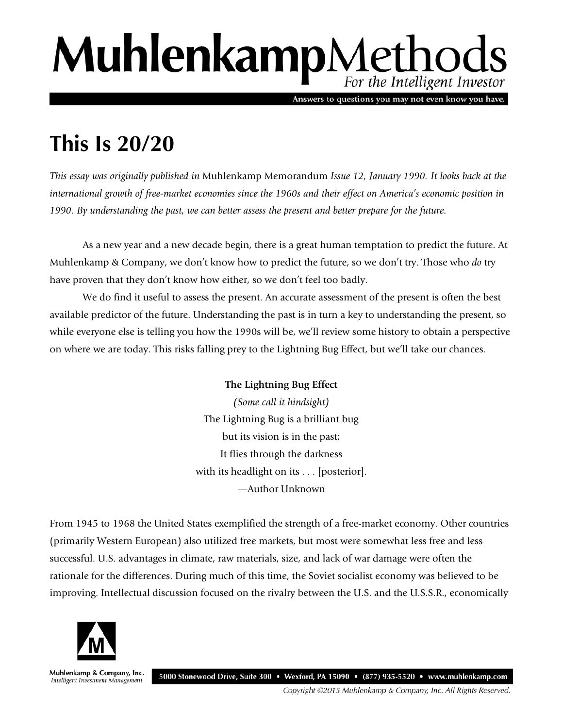## MuhlenkampMethods For the Intelligent Investor

Answers to questions you may not even know you have.

## **This Is 20/20**

*This essay was originally published in* Muhlenkamp Memorandum *Issue 12, January 1990. It looks back at the international growth of free-market economies since the 1960s and their effect on America's economic position in 1990. By understanding the past, we can better assess the present and better prepare for the future.* 

As a new year and a new decade begin, there is a great human temptation to predict the future. At Muhlenkamp & Company, we don't know how to predict the future, so we don't try. Those who *do* try have proven that they don't know how either, so we don't feel too badly.

We do find it useful to assess the present. An accurate assessment of the present is often the best available predictor of the future. Understanding the past is in turn a key to understanding the present, so while everyone else is telling you how the 1990s will be, we'll review some history to obtain a perspective on where we are today. This risks falling prey to the Lightning Bug Effect, but we'll take our chances.

> **The Lightning Bug Effect** *(Some call it hindsight)* The Lightning Bug is a brilliant bug but its vision is in the past; It flies through the darkness with its headlight on its . . . [posterior]. —Author Unknown

From 1945 to 1968 the United States exemplified the strength of a free-market economy. Other countries (primarily Western European) also utilized free markets, but most were somewhat less free and less successful. U.S. advantages in climate, raw materials, size, and lack of war damage were often the rationale for the differences. During much of this time, the Soviet socialist economy was believed to be improving. Intellectual discussion focused on the rivalry between the U.S. and the U.S.S.R., economically



Muhlenkamp & Company, Inc. Intelligent Investment Management

5000 Stonewood Drive, Suite 300 • Wexford, PA 15090 • (877) 935-5520 • www.muhlenkamp.com

Copyright ©2015 Muhlenkamp & Company, Inc. All Rights Reserved.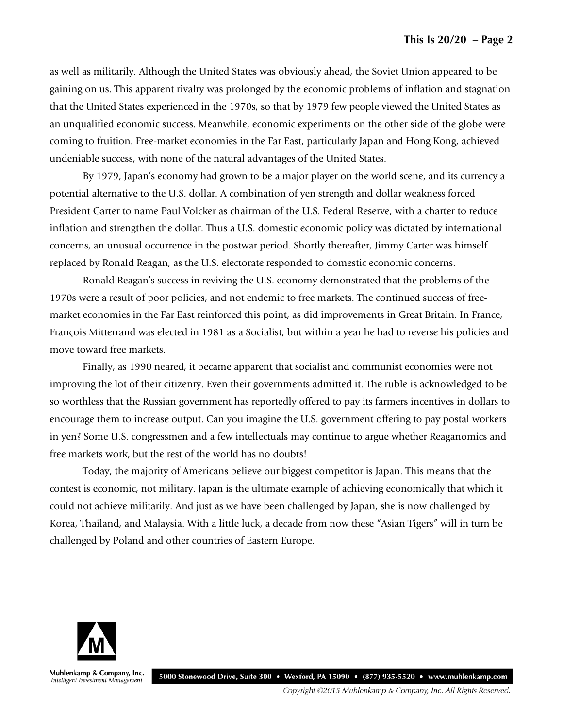as well as militarily. Although the United States was obviously ahead, the Soviet Union appeared to be gaining on us. This apparent rivalry was prolonged by the economic problems of inflation and stagnation that the United States experienced in the 1970s, so that by 1979 few people viewed the United States as an unqualified economic success. Meanwhile, economic experiments on the other side of the globe were coming to fruition. Free-market economies in the Far East, particularly Japan and Hong Kong, achieved undeniable success, with none of the natural advantages of the United States.

By 1979, Japan's economy had grown to be a major player on the world scene, and its currency a potential alternative to the U.S. dollar. A combination of yen strength and dollar weakness forced President Carter to name Paul Volcker as chairman of the U.S. Federal Reserve, with a charter to reduce inflation and strengthen the dollar. Thus a U.S. domestic economic policy was dictated by international concerns, an unusual occurrence in the postwar period. Shortly thereafter, Jimmy Carter was himself replaced by Ronald Reagan, as the U.S. electorate responded to domestic economic concerns.

Ronald Reagan's success in reviving the U.S. economy demonstrated that the problems of the 1970s were a result of poor policies, and not endemic to free markets. The continued success of freemarket economies in the Far East reinforced this point, as did improvements in Great Britain. In France, François Mitterrand was elected in 1981 as a Socialist, but within a year he had to reverse his policies and move toward free markets.

Finally, as 1990 neared, it became apparent that socialist and communist economies were not improving the lot of their citizenry. Even their governments admitted it. The ruble is acknowledged to be so worthless that the Russian government has reportedly offered to pay its farmers incentives in dollars to encourage them to increase output. Can you imagine the U.S. government offering to pay postal workers in yen? Some U.S. congressmen and a few intellectuals may continue to argue whether Reaganomics and free markets work, but the rest of the world has no doubts!

Today, the majority of Americans believe our biggest competitor is Japan. This means that the contest is economic, not military. Japan is the ultimate example of achieving economically that which it could not achieve militarily. And just as we have been challenged by Japan, she is now challenged by Korea, Thailand, and Malaysia. With a little luck, a decade from now these "Asian Tigers" will in turn be challenged by Poland and other countries of Eastern Europe.



Muhlenkamp & Company, Inc. Intelligent Investment Management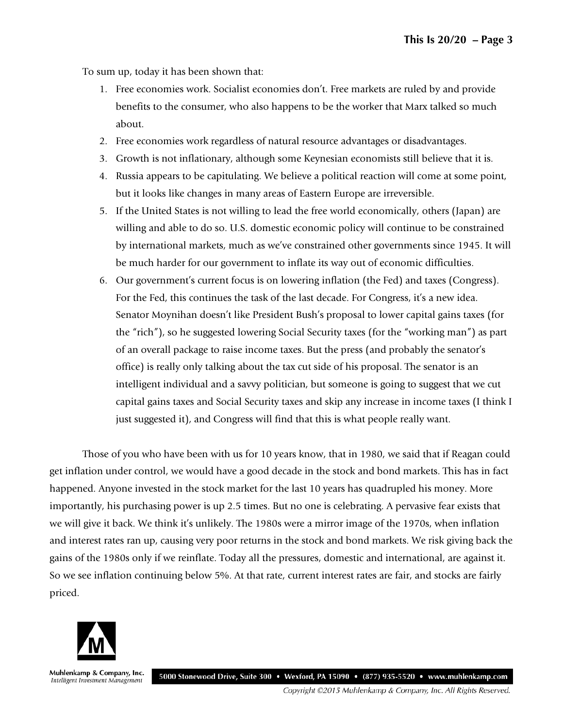To sum up, today it has been shown that:

- 1. Free economies work. Socialist economies don't. Free markets are ruled by and provide benefits to the consumer, who also happens to be the worker that Marx talked so much about.
- 2. Free economies work regardless of natural resource advantages or disadvantages.
- 3. Growth is not inflationary, although some Keynesian economists still believe that it is.
- 4. Russia appears to be capitulating. We believe a political reaction will come at some point, but it looks like changes in many areas of Eastern Europe are irreversible.
- 5. If the United States is not willing to lead the free world economically, others (Japan) are willing and able to do so. U.S. domestic economic policy will continue to be constrained by international markets, much as we've constrained other governments since 1945. It will be much harder for our government to inflate its way out of economic difficulties.
- 6. Our government's current focus is on lowering inflation (the Fed) and taxes (Congress). For the Fed, this continues the task of the last decade. For Congress, it's a new idea. Senator Moynihan doesn't like President Bush's proposal to lower capital gains taxes (for the "rich"), so he suggested lowering Social Security taxes (for the "working man") as part of an overall package to raise income taxes. But the press (and probably the senator's office) is really only talking about the tax cut side of his proposal. The senator is an intelligent individual and a savvy politician, but someone is going to suggest that we cut capital gains taxes and Social Security taxes and skip any increase in income taxes (I think I just suggested it), and Congress will find that this is what people really want.

Those of you who have been with us for 10 years know, that in 1980, we said that if Reagan could get inflation under control, we would have a good decade in the stock and bond markets. This has in fact happened. Anyone invested in the stock market for the last 10 years has quadrupled his money. More importantly, his purchasing power is up 2.5 times. But no one is celebrating. A pervasive fear exists that we will give it back. We think it's unlikely. The 1980s were a mirror image of the 1970s, when inflation and interest rates ran up, causing very poor returns in the stock and bond markets. We risk giving back the gains of the 1980s only if we reinflate. Today all the pressures, domestic and international, are against it. So we see inflation continuing below 5%. At that rate, current interest rates are fair, and stocks are fairly priced.



Muhlenkamp & Company, Inc. Intelligent Investment Management

5000 Stonewood Drive, Suite 300 • Wexford, PA 15090 • (877) 935-5520 • www.muhlenkamp.com

Copyright ©2015 Muhlenkamp & Company, Inc. All Rights Reserved.